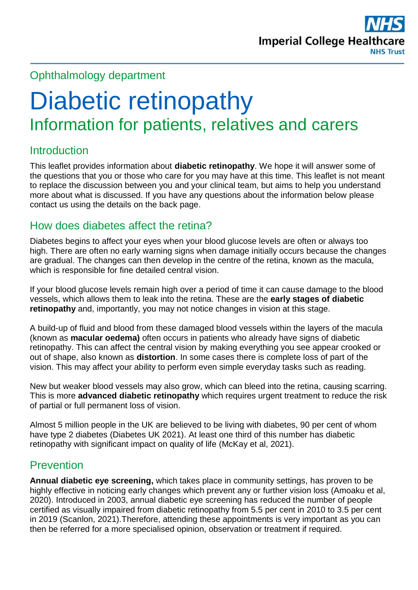

# Ophthalmology department

# Diabetic retinopathy Information for patients, relatives and carers

# Introduction

This leaflet provides information about **diabetic retinopathy**. We hope it will answer some of the questions that you or those who care for you may have at this time. This leaflet is not meant to replace the discussion between you and your clinical team, but aims to help you understand more about what is discussed. If you have any questions about the information below please contact us using the details on the back page.

# How does diabetes affect the retina?

Diabetes begins to affect your eyes when your blood glucose levels are often or always too high. There are often no early warning signs when damage initially occurs because the changes are gradual. The changes can then develop in the centre of the retina, known as the macula, which is responsible for fine detailed central vision.

If your blood glucose levels remain high over a period of time it can cause damage to the blood vessels, which allows them to leak into the retina. These are the **early stages of diabetic retinopathy** and, importantly, you may not notice changes in vision at this stage.

A build-up of fluid and blood from these damaged blood vessels within the layers of the macula (known as **macular oedema)** often occurs in patients who already have signs of diabetic retinopathy. This can affect the central vision by making everything you see appear crooked or out of shape, also known as **distortion**. In some cases there is complete loss of part of the vision. This may affect your ability to perform even simple everyday tasks such as reading.

New but weaker blood vessels may also grow, which can bleed into the retina, causing scarring. This is more **advanced diabetic retinopathy** which requires urgent treatment to reduce the risk of partial or full permanent loss of vision.

Almost 5 million people in the UK are believed to be living with diabetes, 90 per cent of whom have type 2 diabetes (Diabetes UK 2021). At least one third of this number has diabetic retinopathy with significant impact on quality of life (McKay et al, 2021).

#### Prevention

**Annual diabetic eye screening,** which takes place in community settings, has proven to be highly effective in noticing early changes which prevent any or further vision loss (Amoaku et al, 2020). Introduced in 2003, annual diabetic eye screening has reduced the number of people certified as visually impaired from diabetic retinopathy from 5.5 per cent in 2010 to 3.5 per cent in 2019 (Scanlon, 2021).Therefore, attending these appointments is very important as you can then be referred for a more specialised opinion, observation or treatment if required.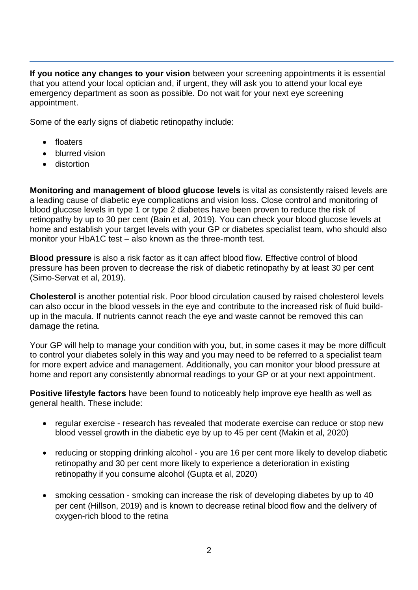**If you notice any changes to your vision** between your screening appointments it is essential that you attend your local optician and, if urgent, they will ask you to attend your local eye emergency department as soon as possible. Do not wait for your next eye screening appointment.

Some of the early signs of diabetic retinopathy include:

- **•** floaters
- blurred vision
- **•** distortion

**Monitoring and management of blood glucose levels** is vital as consistently raised levels are a leading cause of diabetic eye complications and vision loss. Close control and monitoring of blood glucose levels in type 1 or type 2 diabetes have been proven to reduce the risk of retinopathy by up to 30 per cent (Bain et al, 2019). You can check your blood glucose levels at home and establish your target levels with your GP or diabetes specialist team, who should also monitor your HbA1C test – also known as the three-month test.

**Blood pressure** is also a risk factor as it can affect blood flow. Effective control of blood pressure has been proven to decrease the risk of diabetic retinopathy by at least 30 per cent (Simo-Servat et al, 2019).

**Cholesterol** is another potential risk. Poor blood circulation caused by raised cholesterol levels can also occur in the blood vessels in the eye and contribute to the increased risk of fluid buildup in the macula. If nutrients cannot reach the eye and waste cannot be removed this can damage the retina.

Your GP will help to manage your condition with you, but, in some cases it may be more difficult to control your diabetes solely in this way and you may need to be referred to a specialist team for more expert advice and management. Additionally, you can monitor your blood pressure at home and report any consistently abnormal readings to your GP or at your next appointment.

**Positive lifestyle factors** have been found to noticeably help improve eye health as well as general health. These include:

- regular exercise research has revealed that moderate exercise can reduce or stop new blood vessel growth in the diabetic eye by up to 45 per cent (Makin et al, 2020)
- reducing or stopping drinking alcohol you are 16 per cent more likely to develop diabetic retinopathy and 30 per cent more likely to experience a deterioration in existing retinopathy if you consume alcohol (Gupta et al, 2020)
- smoking cessation smoking can increase the risk of developing diabetes by up to 40 per cent (Hillson, 2019) and is known to decrease retinal blood flow and the delivery of oxygen-rich blood to the retina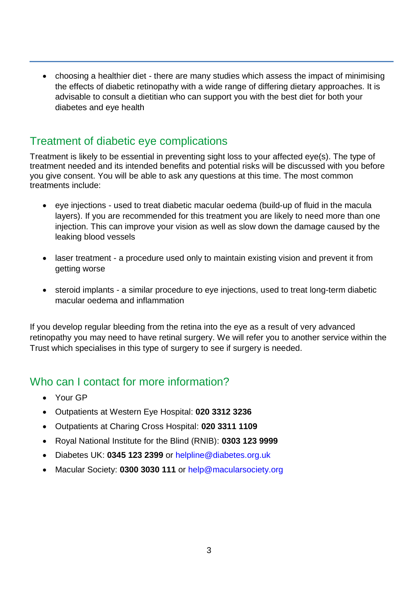choosing a healthier diet - there are many studies which assess the impact of minimising the effects of diabetic retinopathy with a wide range of differing dietary approaches. It is advisable to consult a dietitian who can support you with the best diet for both your diabetes and eye health

# Treatment of diabetic eye complications

Treatment is likely to be essential in preventing sight loss to your affected eye(s). The type of treatment needed and its intended benefits and potential risks will be discussed with you before you give consent. You will be able to ask any questions at this time. The most common treatments include:

- eye injections used to treat diabetic macular oedema (build-up of fluid in the macula layers). If you are recommended for this treatment you are likely to need more than one injection. This can improve your vision as well as slow down the damage caused by the leaking blood vessels
- laser treatment a procedure used only to maintain existing vision and prevent it from getting worse
- steroid implants a similar procedure to eye injections, used to treat long-term diabetic macular oedema and inflammation

If you develop regular bleeding from the retina into the eye as a result of very advanced retinopathy you may need to have retinal surgery. We will refer you to another service within the Trust which specialises in this type of surgery to see if surgery is needed.

# Who can I contact for more information?

- Your GP
- Outpatients at Western Eye Hospital: **020 3312 3236**
- Outpatients at Charing Cross Hospital: **020 3311 1109**
- Royal National Institute for the Blind (RNIB): **0303 123 9999**
- Diabetes UK: **0345 123 2399** or [helpline@diabetes.org.uk](mailto:helpline@diabetes.org.uk)
- Macular Society: **0300 3030 111** or [help@macularsociety.org](mailto:help@macularsociety.org)